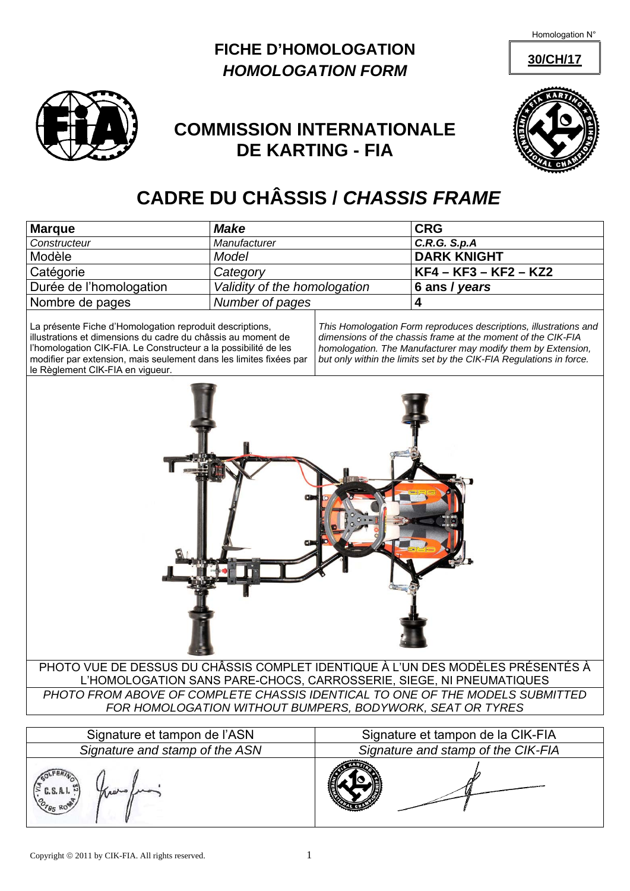Homologation N°

**30/CH/17**





## **COMMISSION INTERNATIONALE DE KARTING - FIA**



## **CADRE DU CHÂSSIS /** *CHASSIS FRAME*

| <b>Marque</b>                                                                                                             | <b>Make</b>                  |  | <b>CRG</b>                                                                                                                                        |
|---------------------------------------------------------------------------------------------------------------------------|------------------------------|--|---------------------------------------------------------------------------------------------------------------------------------------------------|
| Constructeur                                                                                                              | Manufacturer                 |  | C.R.G. S.p.A                                                                                                                                      |
| Modèle                                                                                                                    | Model                        |  | <b>DARK KNIGHT</b>                                                                                                                                |
| Catégorie                                                                                                                 | Category                     |  | $KF4 - KF3 - KF2 - KZ2$                                                                                                                           |
| Durée de l'homologation                                                                                                   | Validity of the homologation |  | 6 ans / years                                                                                                                                     |
| Nombre de pages                                                                                                           | Number of pages              |  |                                                                                                                                                   |
| La présente Fiche d'Homologation reproduit descriptions,<br>illuational de dimensione du codre du défendant cu mensent de |                              |  | This Homologation Form reproduces descriptions, illustrations and<br>$divergence is no of the abelian function for u is the constant of the OIL.$ |

illustrations et dimensions du cadre du châssis au moment de l'homologation CIK-FIA. Le Constructeur a la possibilité de les modifier par extension, mais seulement dans les limites fixées par le Règlement CIK-FIA en vigueur.

*dimensions of the chassis frame at the moment of the CIK-FIA homologation. The Manufacturer may modify them by Extension, but only within the limits set by the CIK-FIA Regulations in force.* 



| Signature et tampon de l'ASN               | Signature et tampon de la CIK-FIA  |  |
|--------------------------------------------|------------------------------------|--|
| Signature and stamp of the ASN             | Signature and stamp of the CIK-FIA |  |
| C.S.A.I.~<br>AADVO<br>O <sub>785</sub> ROM |                                    |  |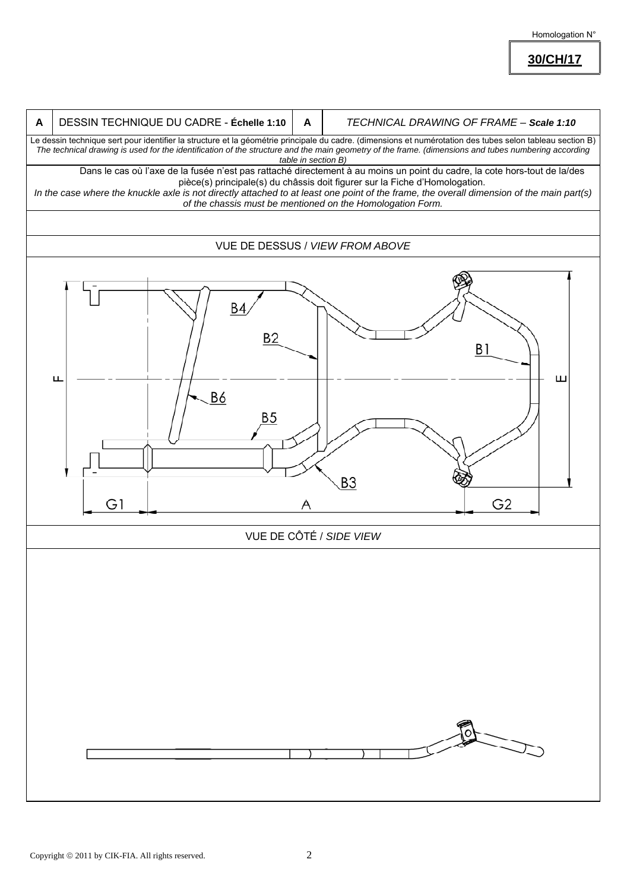Homologation N°

**30/CH/17**

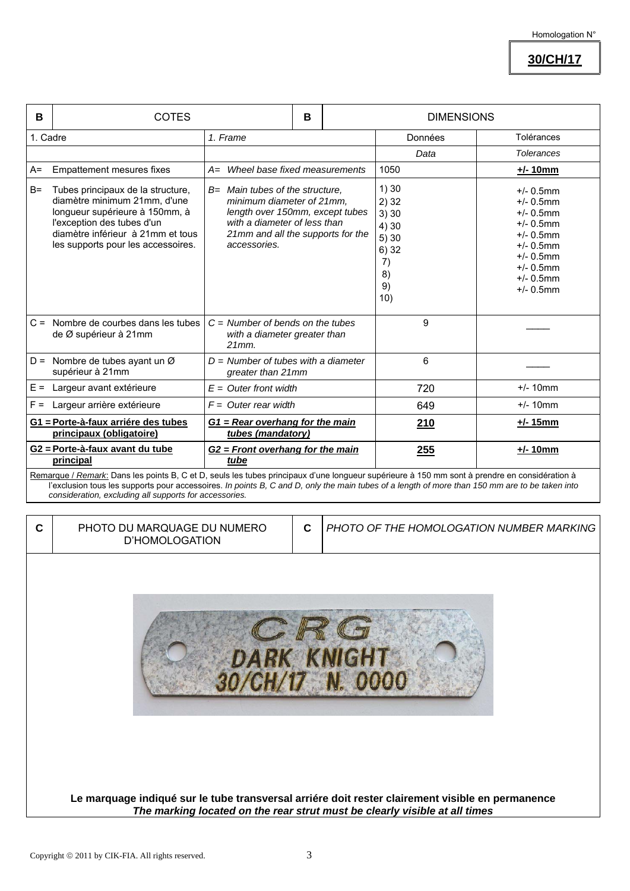**30/CH/17**

| B        | <b>COTES</b>                                                                                                                                                                                                                                                                                    |                                                                                                                                                                                      | B |                                                                         | <b>DIMENSIONS</b> |                                                                                                                                                              |                   |  |
|----------|-------------------------------------------------------------------------------------------------------------------------------------------------------------------------------------------------------------------------------------------------------------------------------------------------|--------------------------------------------------------------------------------------------------------------------------------------------------------------------------------------|---|-------------------------------------------------------------------------|-------------------|--------------------------------------------------------------------------------------------------------------------------------------------------------------|-------------------|--|
| 1. Cadre |                                                                                                                                                                                                                                                                                                 | 1. Frame                                                                                                                                                                             |   |                                                                         |                   | Données                                                                                                                                                      | Tolérances        |  |
|          |                                                                                                                                                                                                                                                                                                 |                                                                                                                                                                                      |   |                                                                         |                   | Data                                                                                                                                                         | <b>Tolerances</b> |  |
| $A=$     | <b>Empattement mesures fixes</b>                                                                                                                                                                                                                                                                | A= Wheel base fixed measurements                                                                                                                                                     |   |                                                                         | 1050              |                                                                                                                                                              | $+/- 10$ mm       |  |
| $B=$     | Tubes principaux de la structure,<br>diamètre minimum 21mm, d'une<br>longueur supérieure à 150mm, à<br>l'exception des tubes d'un<br>diamètre inférieur à 21mm et tous<br>les supports pour les accessoires.                                                                                    | B= Main tubes of the structure,<br>minimum diameter of 21mm,<br>length over 150mm, except tubes<br>with a diameter of less than<br>21mm and all the supports for the<br>accessories. |   | 1)30<br>2)32<br>3)30<br>4) 30<br>5) 30<br>6)32<br>7)<br>8)<br>9)<br>10) |                   | $+/- 0.5$ mm<br>$+/- 0.5$ mm<br>$+/- 0.5$ mm<br>$+/- 0.5$ mm<br>$+/- 0.5$ mm<br>$+/- 0.5$ mm<br>$+/- 0.5$ mm<br>$+/- 0.5$ mm<br>$+/- 0.5$ mm<br>$+/- 0.5$ mm |                   |  |
|          | $C =$ Nombre de courbes dans les tubes<br>de Ø supérieur à 21mm                                                                                                                                                                                                                                 | $C =$ Number of bends on the tubes<br>with a diameter greater than<br>$21mm$ .                                                                                                       |   |                                                                         |                   | 9                                                                                                                                                            |                   |  |
|          | $D =$ Nombre de tubes ayant un Ø<br>supérieur à 21mm                                                                                                                                                                                                                                            | $D =$ Number of tubes with a diameter<br>greater than 21mm                                                                                                                           |   |                                                                         | 6                 |                                                                                                                                                              |                   |  |
| $E =$    | Largeur avant extérieure                                                                                                                                                                                                                                                                        | $E =$ Outer front width                                                                                                                                                              |   |                                                                         |                   | 720                                                                                                                                                          | $+/- 10$ mm       |  |
| $F =$    | Largeur arrière extérieure                                                                                                                                                                                                                                                                      | $F =$ Outer rear width                                                                                                                                                               |   |                                                                         |                   | 649                                                                                                                                                          | $+/- 10$ mm       |  |
|          | G1 = Porte-à-faux arriére des tubes<br>principaux (obligatoire)                                                                                                                                                                                                                                 | G1 = Rear overhang for the main<br>tubes (mandatory)                                                                                                                                 |   |                                                                         |                   | 210                                                                                                                                                          | +/- 15mm          |  |
|          | G2 = Porte-à-faux avant du tube<br>principal                                                                                                                                                                                                                                                    | $G2$ = Front overhang for the main<br>tube                                                                                                                                           |   |                                                                         |                   | 255                                                                                                                                                          | $+/- 10$ mm       |  |
|          | Remarque / Remark: Dans les points B, C et D, seuls les tubes principaux d'une longueur supérieure à 150 mm sont à prendre en considération à<br>l'exclusion tous les supports pour accessoires. In points B, C and D, only the main tubes of a length of more than 150 mm are to be taken into |                                                                                                                                                                                      |   |                                                                         |                   |                                                                                                                                                              |                   |  |

*consideration, excluding all supports for accessories.*

| C | PHOTO DU MARQUAGE DU NUMERO<br>D'HOMOLOGATION                                                                                                                                  | C | PHOTO OF THE HOMOLOGATION NUMBER MARKING |  |
|---|--------------------------------------------------------------------------------------------------------------------------------------------------------------------------------|---|------------------------------------------|--|
|   | DA                                                                                                                                                                             |   | <b>RK KNIGHT</b>                         |  |
|   | Le marquage indiqué sur le tube transversal arriére doit rester clairement visible en permanence<br>The marking located on the rear strut must be clearly visible at all times |   |                                          |  |